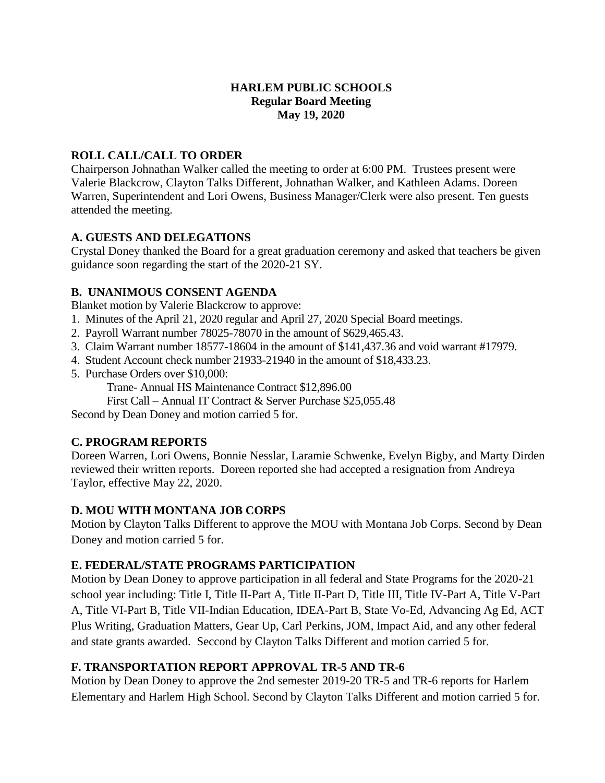## **HARLEM PUBLIC SCHOOLS Regular Board Meeting May 19, 2020**

# **ROLL CALL/CALL TO ORDER**

Chairperson Johnathan Walker called the meeting to order at 6:00 PM. Trustees present were Valerie Blackcrow, Clayton Talks Different, Johnathan Walker, and Kathleen Adams. Doreen Warren, Superintendent and Lori Owens, Business Manager/Clerk were also present. Ten guests attended the meeting.

## **A. GUESTS AND DELEGATIONS**

Crystal Doney thanked the Board for a great graduation ceremony and asked that teachers be given guidance soon regarding the start of the 2020-21 SY.

# **B. UNANIMOUS CONSENT AGENDA**

Blanket motion by Valerie Blackcrow to approve:

- 1. Minutes of the April 21, 2020 regular and April 27, 2020 Special Board meetings.
- 2. Payroll Warrant number 78025-78070 in the amount of \$629,465.43.
- 3. Claim Warrant number 18577-18604 in the amount of \$141,437.36 and void warrant #17979.
- 4. Student Account check number 21933-21940 in the amount of \$18,433.23.
- 5. Purchase Orders over \$10,000:

Trane- Annual HS Maintenance Contract \$12,896.00

First Call – Annual IT Contract & Server Purchase \$25,055.48

Second by Dean Doney and motion carried 5 for.

## **C. PROGRAM REPORTS**

Doreen Warren, Lori Owens, Bonnie Nesslar, Laramie Schwenke, Evelyn Bigby, and Marty Dirden reviewed their written reports. Doreen reported she had accepted a resignation from Andreya Taylor, effective May 22, 2020.

## **D. MOU WITH MONTANA JOB CORPS**

Motion by Clayton Talks Different to approve the MOU with Montana Job Corps. Second by Dean Doney and motion carried 5 for.

## **E. FEDERAL/STATE PROGRAMS PARTICIPATION**

Motion by Dean Doney to approve participation in all federal and State Programs for the 2020-21 school year including: Title I, Title II-Part A, Title II-Part D, Title III, Title IV-Part A, Title V-Part A, Title VI-Part B, Title VII-Indian Education, IDEA-Part B, State Vo-Ed, Advancing Ag Ed, ACT Plus Writing, Graduation Matters, Gear Up, Carl Perkins, JOM, Impact Aid, and any other federal and state grants awarded. Seccond by Clayton Talks Different and motion carried 5 for.

## **F. TRANSPORTATION REPORT APPROVAL TR-5 AND TR-6**

Motion by Dean Doney to approve the 2nd semester 2019-20 TR-5 and TR-6 reports for Harlem Elementary and Harlem High School. Second by Clayton Talks Different and motion carried 5 for.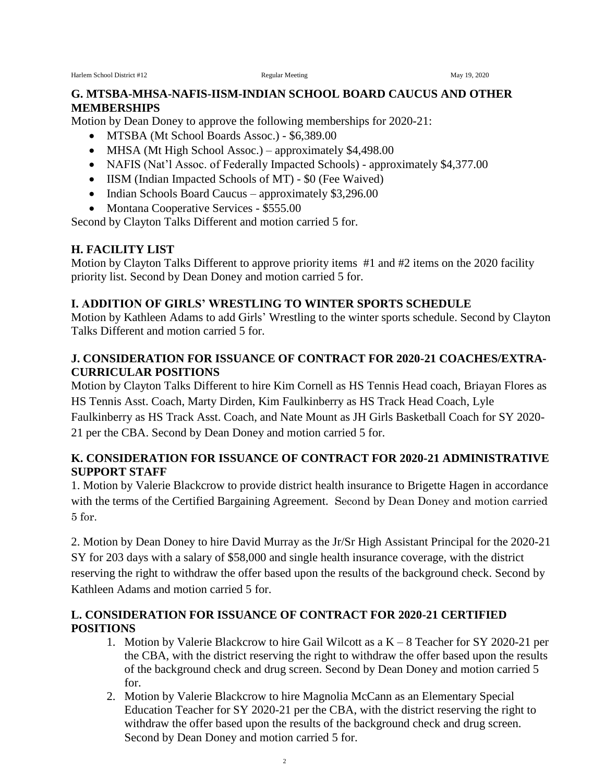#### **G. MTSBA-MHSA-NAFIS-IISM-INDIAN SCHOOL BOARD CAUCUS AND OTHER MEMBERSHIPS**

Motion by Dean Doney to approve the following memberships for 2020-21:

- MTSBA (Mt School Boards Assoc.) \$6,389.00
- MHSA (Mt High School Assoc.) approximately \$4,498.00
- NAFIS (Nat'l Assoc. of Federally Impacted Schools) approximately \$4,377.00
- IISM (Indian Impacted Schools of MT) \$0 (Fee Waived)
- Indian Schools Board Caucus approximately \$3,296.00
- Montana Cooperative Services \$555.00

Second by Clayton Talks Different and motion carried 5 for.

#### **H. FACILITY LIST**

Motion by Clayton Talks Different to approve priority items #1 and #2 items on the 2020 facility priority list. Second by Dean Doney and motion carried 5 for.

## **I. ADDITION OF GIRLS' WRESTLING TO WINTER SPORTS SCHEDULE**

Motion by Kathleen Adams to add Girls' Wrestling to the winter sports schedule. Second by Clayton Talks Different and motion carried 5 for.

#### **J. CONSIDERATION FOR ISSUANCE OF CONTRACT FOR 2020-21 COACHES/EXTRA-CURRICULAR POSITIONS**

Motion by Clayton Talks Different to hire Kim Cornell as HS Tennis Head coach, Briayan Flores as HS Tennis Asst. Coach, Marty Dirden, Kim Faulkinberry as HS Track Head Coach, Lyle

Faulkinberry as HS Track Asst. Coach, and Nate Mount as JH Girls Basketball Coach for SY 2020- 21 per the CBA. Second by Dean Doney and motion carried 5 for.

#### **K. CONSIDERATION FOR ISSUANCE OF CONTRACT FOR 2020-21 ADMINISTRATIVE SUPPORT STAFF**

1. Motion by Valerie Blackcrow to provide district health insurance to Brigette Hagen in accordance with the terms of the Certified Bargaining Agreement. Second by Dean Doney and motion carried 5 for.

2. Motion by Dean Doney to hire David Murray as the Jr/Sr High Assistant Principal for the 2020-21 SY for 203 days with a salary of \$58,000 and single health insurance coverage, with the district reserving the right to withdraw the offer based upon the results of the background check. Second by Kathleen Adams and motion carried 5 for.

## **L. CONSIDERATION FOR ISSUANCE OF CONTRACT FOR 2020-21 CERTIFIED POSITIONS**

- 1. Motion by Valerie Blackcrow to hire Gail Wilcott as a K 8 Teacher for SY 2020-21 per the CBA, with the district reserving the right to withdraw the offer based upon the results of the background check and drug screen. Second by Dean Doney and motion carried 5 for.
- 2. Motion by Valerie Blackcrow to hire Magnolia McCann as an Elementary Special Education Teacher for SY 2020-21 per the CBA, with the district reserving the right to withdraw the offer based upon the results of the background check and drug screen. Second by Dean Doney and motion carried 5 for.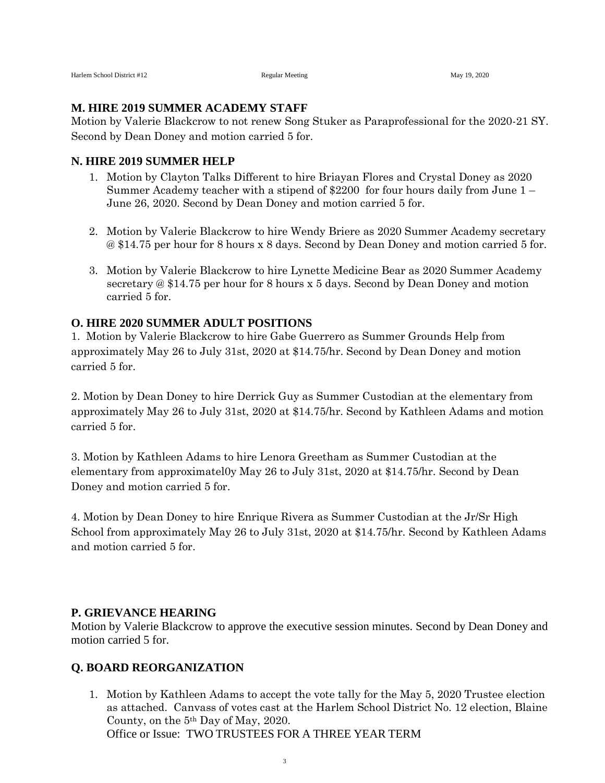#### **M. HIRE 2019 SUMMER ACADEMY STAFF**

Motion by Valerie Blackcrow to not renew Song Stuker as Paraprofessional for the 2020-21 SY. Second by Dean Doney and motion carried 5 for.

#### **N. HIRE 2019 SUMMER HELP**

- 1. Motion by Clayton Talks Different to hire Briayan Flores and Crystal Doney as 2020 Summer Academy teacher with a stipend of \$2200 for four hours daily from June 1 – June 26, 2020. Second by Dean Doney and motion carried 5 for.
- 2. Motion by Valerie Blackcrow to hire Wendy Briere as 2020 Summer Academy secretary @ \$14.75 per hour for 8 hours x 8 days. Second by Dean Doney and motion carried 5 for.
- 3. Motion by Valerie Blackcrow to hire Lynette Medicine Bear as 2020 Summer Academy secretary @ \$14.75 per hour for 8 hours x 5 days. Second by Dean Doney and motion carried 5 for.

#### **O. HIRE 2020 SUMMER ADULT POSITIONS**

1. Motion by Valerie Blackcrow to hire Gabe Guerrero as Summer Grounds Help from approximately May 26 to July 31st, 2020 at \$14.75/hr. Second by Dean Doney and motion carried 5 for.

2. Motion by Dean Doney to hire Derrick Guy as Summer Custodian at the elementary from approximately May 26 to July 31st, 2020 at \$14.75/hr. Second by Kathleen Adams and motion carried 5 for.

3. Motion by Kathleen Adams to hire Lenora Greetham as Summer Custodian at the elementary from approximatel0y May 26 to July 31st, 2020 at \$14.75/hr. Second by Dean Doney and motion carried 5 for.

4. Motion by Dean Doney to hire Enrique Rivera as Summer Custodian at the Jr/Sr High School from approximately May 26 to July 31st, 2020 at \$14.75/hr. Second by Kathleen Adams and motion carried 5 for.

#### **P. GRIEVANCE HEARING**

Motion by Valerie Blackcrow to approve the executive session minutes. Second by Dean Doney and motion carried 5 for.

#### **Q. BOARD REORGANIZATION**

1. Motion by Kathleen Adams to accept the vote tally for the May 5, 2020 Trustee election as attached. Canvass of votes cast at the Harlem School District No. 12 election, Blaine County, on the 5th Day of May, 2020. Office or Issue: TWO TRUSTEES FOR A THREE YEAR TERM